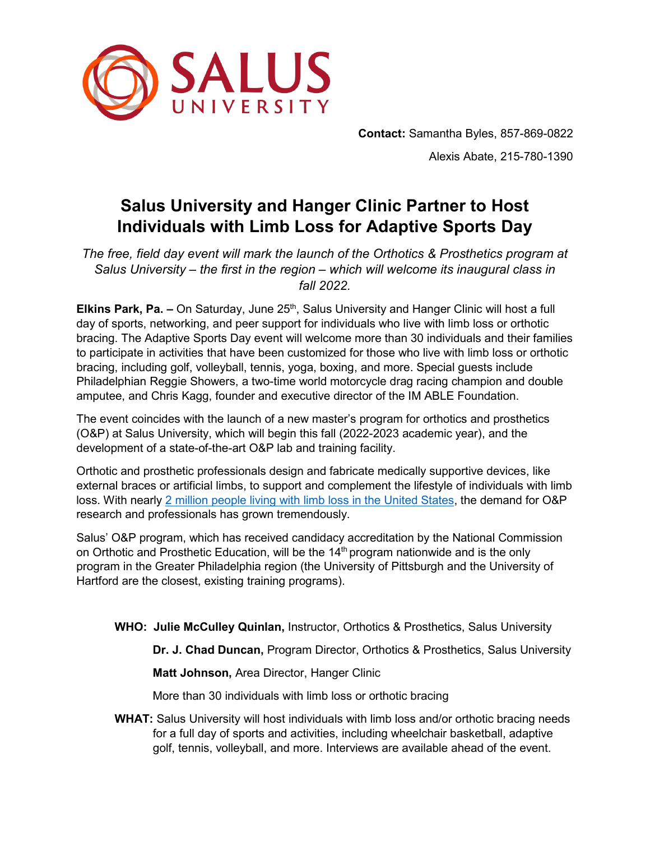

**Contact:** Samantha Byles, 857-869-0822 Alexis Abate, 215-780-1390

## **Salus University and Hanger Clinic Partner to Host Individuals with Limb Loss for Adaptive Sports Day**

*The free, field day event will mark the launch of the Orthotics & Prosthetics program at Salus University – the first in the region – which will welcome its inaugural class in fall 2022.*

**Elkins Park, Pa. –** On Saturday, June 25<sup>th</sup>, Salus University and Hanger Clinic will host a full day of sports, networking, and peer support for individuals who live with limb loss or orthotic bracing. The Adaptive Sports Day event will welcome more than 30 individuals and their families to participate in activities that have been customized for those who live with limb loss or orthotic bracing, including golf, volleyball, tennis, yoga, boxing, and more. Special guests include Philadelphian Reggie Showers, a two-time world motorcycle drag racing champion and double amputee, and Chris Kagg, founder and executive director of the IM ABLE Foundation.

The event coincides with the launch of a new master's program for orthotics and prosthetics (O&P) at Salus University, which will begin this fall (2022-2023 academic year), and the development of a state-of-the-art O&P lab and training facility.

Orthotic and prosthetic professionals design and fabricate medically supportive devices, like external braces or artificial limbs, to support and complement the lifestyle of individuals with limb loss. With nearly [2 million people living with limb loss in the United States,](https://www.amputee-coalition.org/resources/limb-loss-statistics/#1) the demand for O&P research and professionals has grown tremendously.

Salus' O&P program, which has received candidacy accreditation by the National Commission on Orthotic and Prosthetic Education, will be the  $14<sup>th</sup>$  program nationwide and is the only program in the Greater Philadelphia region (the University of Pittsburgh and the University of Hartford are the closest, existing training programs).

**WHO: Julie McCulley Quinlan,** Instructor, Orthotics & Prosthetics, Salus University

**Dr. J. Chad Duncan,** Program Director, Orthotics & Prosthetics, Salus University

**Matt Johnson,** Area Director, Hanger Clinic

More than 30 individuals with limb loss or orthotic bracing

**WHAT:** Salus University will host individuals with limb loss and/or orthotic bracing needs for a full day of sports and activities, including wheelchair basketball, adaptive golf, tennis, volleyball, and more. Interviews are available ahead of the event.